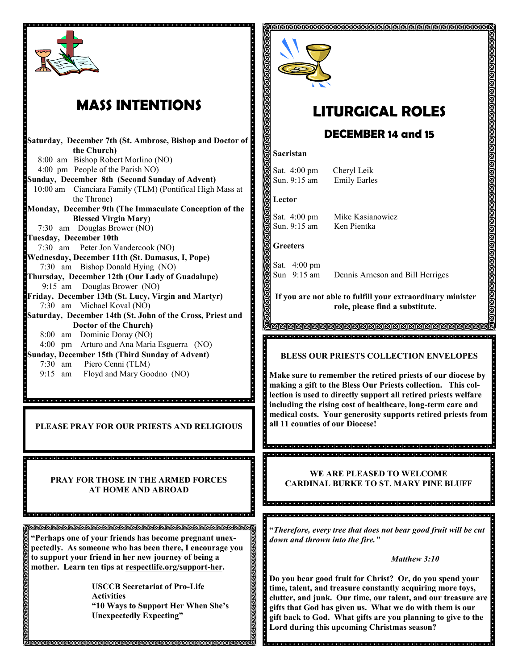

## **MASS INTENTIONS**

**Saturday, December 7th (St. Ambrose, Bishop and Doctor of the Church)** 8:00 am Bishop Robert Morlino (NO) 4:00 pm People of the Parish NO) **Sunday, December 8th (Second Sunday of Advent)** 10:00 am Cianciara Family (TLM) (Pontifical High Mass at the Throne) **Monday, December 9th (The Immaculate Conception of the Blessed Virgin Mary)**  7:30 am Douglas Brower (NO) **Tuesday, December 10th**  7:30 am Peter Jon Vandercook (NO) **Wednesday, December 11th (St. Damasus, I, Pope)** 7:30 am Bishop Donald Hying (NO) **Thursday, December 12th (Our Lady of Guadalupe)** 9:15 am Douglas Brower (NO) **Friday, December 13th (St. Lucy, Virgin and Martyr)** 7:30 am Michael Koval (NO) **Saturday, December 14th (St. John of the Cross, Priest and Doctor of the Church)** 8:00 am Dominic Doray (NO) 4:00 pm Arturo and Ana Maria Esguerra (NO) **Sunday, December 15th (Third Sunday of Advent)**  7:30 am Piero Cenni (TLM) 9:15 am Floyd and Mary Goodno (NO)

dia la jaraja la la jaraja la jaraja jaraja la la jaraja jaraja la jaraja la jaraja la jaraja jaraja jaraja la jaraja

**PLEASE PRAY FOR OUR PRIESTS AND RELIGIOUS**

**PRAY FOR THOSE IN THE ARMED FORCES AT HOME AND ABROAD**

<u>a del alguna de la del alguna de la ciela de la del alguna de la del alguna de la ciela de la del alguna d</u>

**"Perhaps one of your friends has become pregnant unexpectedly. As someone who has been there, I encourage you to support your friend in her new journey of being a**  mother. Learn ten tips at **respectlife.org/support-her.** 

> **USCCB Secretariat of Pro-Life Activities "10 Ways to Support Her When She's Unexpectedly Expecting"**

> > MMMMMMMMM



# **LITURGICAL ROLES**

ଶଗଗଗଗଗଗଗଗଗଗଗଗଗଗଗଗଗଗଗଗଗଗଗଗଗଗଗଗ

### **DECEMBER 14 and 15**

#### **Sacristan**

Sat. 4:00 pm Cheryl Leik Sun. 9:15 am Emily Earles

#### **Lector**

Sat. 4:00 pm Mike Kasianowicz Sun. 9:15 am Ken Pientka

### **Greeters**

Sat. 4:00 pm

Sun 9:15 am Dennis Arneson and Bill Herriges

**If you are not able to fulfill your extraordinary minister role, please find a substitute.** 

<u>a acta de la ciencia de la ciencia de la ciencia de la ciencia de la ciencia de la ciencia de la ciencia de l</u>

**BLESS OUR PRIESTS COLLECTION ENVELOPES**

**Make sure to remember the retired priests of our diocese by making a gift to the Bless Our Priests collection. This collection is used to directly support all retired priests welfare including the rising cost of healthcare, long-term care and medical costs. Your generosity supports retired priests from all 11 counties of our Diocese!**

**WE ARE PLEASED TO WELCOME CARDINAL BURKE TO ST. MARY PINE BLUFF**

la de la defació de la defació de la defació de la defació de la defació de la defació de la defació de la def

**"***Therefore, every tree that does not bear good fruit will be cut down and thrown into the fire."*

#### *Matthew 3:10*

**Do you bear good fruit for Christ? Or, do you spend your time, talent, and treasure constantly acquiring more toys, clutter, and junk. Our time, our talent, and our treasure are gifts that God has given us. What we do with them is our gift back to God. What gifts are you planning to give to the Lord during this upcoming Christmas season?**